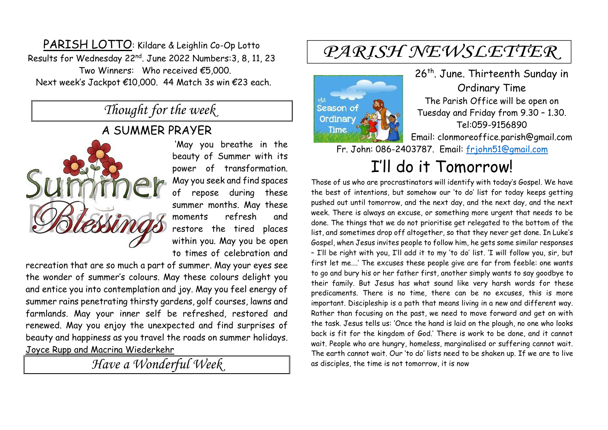PARISH LOTTO: Kildare & Leighlin Co-Op Lotto Results for Wednesday 22nd . June 2022 Numbers:3, 8, 11, 23 Two Winners: Who received €5,000. Next week's Jackpot €10,000. 44 Match 3s win €23 each.

### *Thought for the week*

#### A SUMMER PRAYER



'May you breathe in the beauty of Summer with its power of transformation. May you seek and find spaces of repose during these summer months. May these moments refresh and restore the tired places within you. May you be open to times of celebration and

recreation that are so much a part of summer. May your eyes see the wonder of summer's colours. May these colours delight you and entice you into contemplation and joy. May you feel energy of summer rains penetrating thirsty gardens, golf courses, lawns and farmlands. May your inner self be refreshed, restored and renewed. May you enjoy the unexpected and find surprises of beauty and happiness as you travel the roads on summer holidays. Joyce Rupp and Macrina Wiederkehr

*Have a Wonderful Week* 

# PARISH NEWSLETTER



26<sup>th</sup>. June. Thirteenth Sunday in Ordinary Time The Parish Office will be open on Tuesday and Friday from 9.30 – 1.30. Tel:059-9156890 Email: clonmoreoffice.parish@gmail.com

Fr. John: 086-2403787. Email: [frjohn51@gmail.com](mailto:frjohn51@gmail.com)

# I'll do it Tomorrow!

Those of us who are procrastinators will identify with today's Gospel. We have the best of intentions, but somehow our 'to do' list for today keeps getting pushed out until tomorrow, and the next day, and the next day, and the next week. There is always an excuse, or something more urgent that needs to be done. The things that we do not prioritise get relegated to the bottom of the list, and sometimes drop off altogether, so that they never get done. In Luke's Gospel, when Jesus invites people to follow him, he gets some similar responses – I'll be right with you, I'll add it to my 'to do' list. 'I will follow you, sir, but first let me….' The excuses these people give are far from feeble: one wants to go and bury his or her father first, another simply wants to say goodbye to their family. But Jesus has what sound like very harsh words for these predicaments. There is no time, there can be no excuses, this is more important. Discipleship is a path that means living in a new and different way. Rather than focusing on the past, we need to move forward and get on with the task. Jesus tells us: 'Once the hand is laid on the plough, no one who looks back is fit for the kingdom of God.' There is work to be done, and it cannot wait. People who are hungry, homeless, marginalised or suffering cannot wait. The earth cannot wait. Our 'to do' lists need to be shaken up. If we are to live as disciples, the time is not tomorrow, it is now